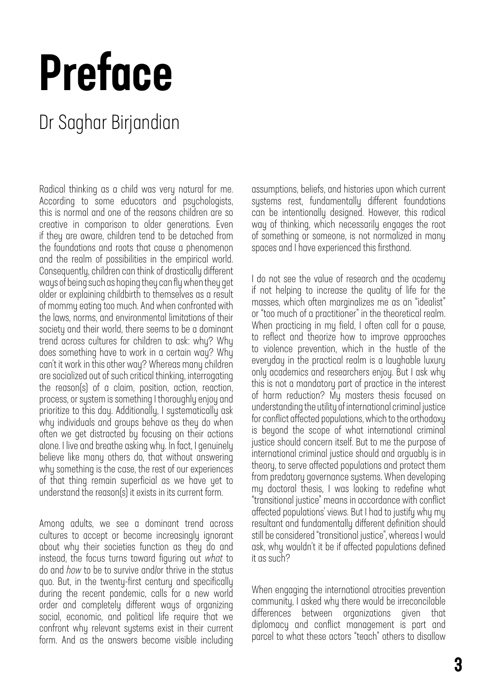## Preface

## Dr Saghar Birjandian

Radical thinking as a child was very natural for me. According to some educators and psychologists, this is normal and one of the reasons children are so creative in comparison to older generations. Even if they are aware, children tend to be detached from the foundations and roots that cause a phenomenon and the realm of possibilities in the empirical world. Consequently, children can think of drastically different ways of being such as hoping they can fly when they get older or explaining childbirth to themselves as a result of mommy eating too much. And when confronted with the laws, norms, and environmental limitations of their society and their world, there seems to be a dominant trend across cultures for children to ask: why? Why does something have to work in a certain way? Why can't it work in this other way? Whereas many children are socialized out of such critical thinking, interrogating the reason(s) of a claim, position, action, reaction, process, or system is something I thoroughly enjoy and prioritize to this day. Additionally, I systematically ask why individuals and groups behave as they do when often we get distracted by focusing on their actions alone. I live and breathe asking why. In fact, I genuinely believe like many others do, that without answering why something is the case, the rest of our experiences of that thing remain superficial as we have yet to understand the reason(s) it exists in its current form.

Among adults, we see a dominant trend across cultures to accept or become increasingly ignorant about why their societies function as they do and instead, the focus turns toward figuring out *what* to do and *how* to be to survive and/or thrive in the status quo. But, in the twenty-first century and specifically during the recent pandemic, calls for a new world order and completely different ways of organizing social, economic, and political life require that we confront why relevant systems exist in their current form. And as the answers become visible including

assumptions, beliefs, and histories upon which current systems rest, fundamentally different foundations can be intentionally designed. However, this radical way of thinking, which necessarily engages the root of something or someone, is not normalized in many spaces and I have experienced this firsthand.

I do not see the value of research and the academy if not helping to increase the quality of life for the masses, which often marginalizes me as an "idealist" or "too much of a practitioner" in the theoretical realm. When practicing in my field, I often call for a pause, to reflect and theorize how to improve approaches to violence prevention, which in the hustle of the everyday in the practical realm is a laughable luxury only academics and researchers enjoy. But I ask why this is not a mandatory part of practice in the interest of harm reduction? My masters thesis focused on understanding the utility of international criminal justice for conflict affected populations, which to the orthodoxy is beyond the scope of what international criminal justice should concern itself. But to me the purpose of international criminal justice should and arguably is in theory, to serve affected populations and protect them from predatory governance systems. When developing my doctoral thesis, I was looking to redefine what "transitional justice" means in accordance with conflict affected populations' views. But I had to justify why my resultant and fundamentally different definition should still be considered "transitional justice", whereas I would ask, why wouldn't it be if affected populations defined it as such?

When engaging the international atrocities prevention community, I asked why there would be irreconcilable differences between organizations given that diplomacy and conflict management is part and parcel to what these actors "teach" others to disallow